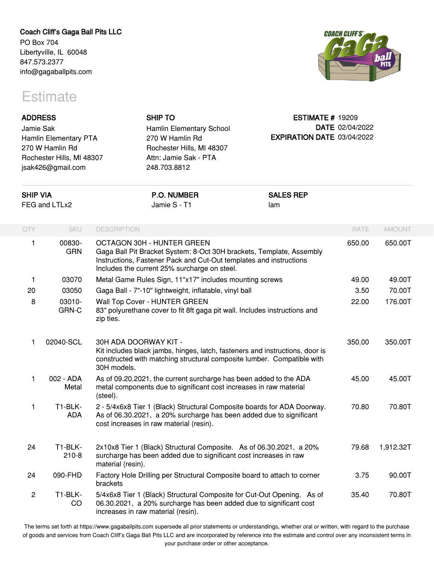## **Coach Cliff's Gaga Ball Pits LLC**

PO Box 704 Libertyville, IL 60048 847.573.2377 info@gagaballpits.com

## **Estimate**



| <b>ADDRESS</b><br>Jamie Sak<br>Hamlin Elementary PTA<br>270 W Hamlin Rd<br>Rochester Hills, MI 48307<br>jsak426@gmail.com<br><b>SHIP VIA</b><br>FEG and LTLx2 |                       |                                            | <b>SHIP TO</b><br>Hamlin Elementary School<br>270 W Hamlin Rd<br>Rochester Hills, MI 48307<br>Attn: Jamie Sak - PTA<br>248.703.8812                                                        | <b>ESTIMATE # 19209</b><br>EXPIRATION DATE 03/04/2022 | DATE 02/04/2022 |               |
|---------------------------------------------------------------------------------------------------------------------------------------------------------------|-----------------------|--------------------------------------------|--------------------------------------------------------------------------------------------------------------------------------------------------------------------------------------------|-------------------------------------------------------|-----------------|---------------|
|                                                                                                                                                               |                       |                                            | <b>P.O. NUMBER</b><br>Jamie S - T1                                                                                                                                                         | <b>SALES REP</b><br>lam                               |                 |               |
| QTY                                                                                                                                                           | <b>SKU</b>            | <b>DESCRIPTION</b>                         |                                                                                                                                                                                            |                                                       | RATE            | <b>AMOUNT</b> |
| 1                                                                                                                                                             | 00830-<br><b>GRN</b>  | OCTAGON 30H - HUNTER GREEN                 | Gaga Ball Pit Bracket System: 8-Oct 30H brackets, Template, Assembly<br>Instructions, Fastener Pack and Cut-Out templates and instructions<br>Includes the current 25% surcharge on steel. |                                                       | 650.00          | 650.00T       |
| 1                                                                                                                                                             | 03070                 |                                            | Metal Game Rules Sign, 11"x17" includes mounting screws                                                                                                                                    |                                                       | 49.00           | 49.00T        |
| 20                                                                                                                                                            | 03050                 |                                            | Gaga Ball - 7"-10" lightweight, inflatable, vinyl ball                                                                                                                                     |                                                       | 3.50            | 70.00T        |
| 8                                                                                                                                                             | 03010-<br>GRN-C       | Wall Top Cover - HUNTER GREEN<br>zip ties. | 83" polyurethane cover to fit 8ft gaga pit wall. Includes instructions and                                                                                                                 |                                                       | 22.00           | 176.00T       |
| 1                                                                                                                                                             | 02040-SCL             | 30H ADA DOORWAY KIT -<br>30H models.       | Kit includes black jambs, hinges, latch, fasteners and instructions, door is<br>constructed with matching structural composite lumber. Compatible with                                     |                                                       | 350.00          | 350.00T       |
| 1                                                                                                                                                             | 002 - ADA<br>Metal    | (steel).                                   | As of 09.20.2021, the current surcharge has been added to the ADA<br>metal components due to significant cost increases in raw material                                                    |                                                       | 45.00           | 45.00T        |
| 1                                                                                                                                                             | T1-BLK-<br><b>ADA</b> | cost increases in raw material (resin).    | 2 - 5/4x6x8 Tier 1 (Black) Structural Composite boards for ADA Doorway.<br>As of 06.30.2021, a 20% surcharge has been added due to significant                                             |                                                       | 70.80           | 70.80T        |
| 24                                                                                                                                                            | T1-BLK-<br>$210 - 8$  | material (resin).                          | 2x10x8 Tier 1 (Black) Structural Composite. As of 06.30.2021, a 20%<br>surcharge has been added due to significant cost increases in raw                                                   |                                                       | 79.68           | 1,912.32T     |
| 24                                                                                                                                                            | 090-FHD               | brackets                                   | Factory Hole Drilling per Structural Composite board to attach to corner                                                                                                                   |                                                       | 3.75            | 90.00T        |
| 2                                                                                                                                                             | T1-BLK-<br>CO         | increases in raw material (resin).         | 5/4x6x8 Tier 1 (Black) Structural Composite for Cut-Out Opening. As of<br>06.30.2021, a 20% surcharge has been added due to significant cost                                               |                                                       | 35.40           | 70.80T        |

The terms set forth at https://www.gagaballpits.com supersede all prior statements or understandings, whether oral or written, with regard to the purchase of goods and services from Coach Cliff's Gaga Ball Pits LLC and are incorporated by reference into the estimate and control over any inconsistent terms in your purchase order or other acceptance.